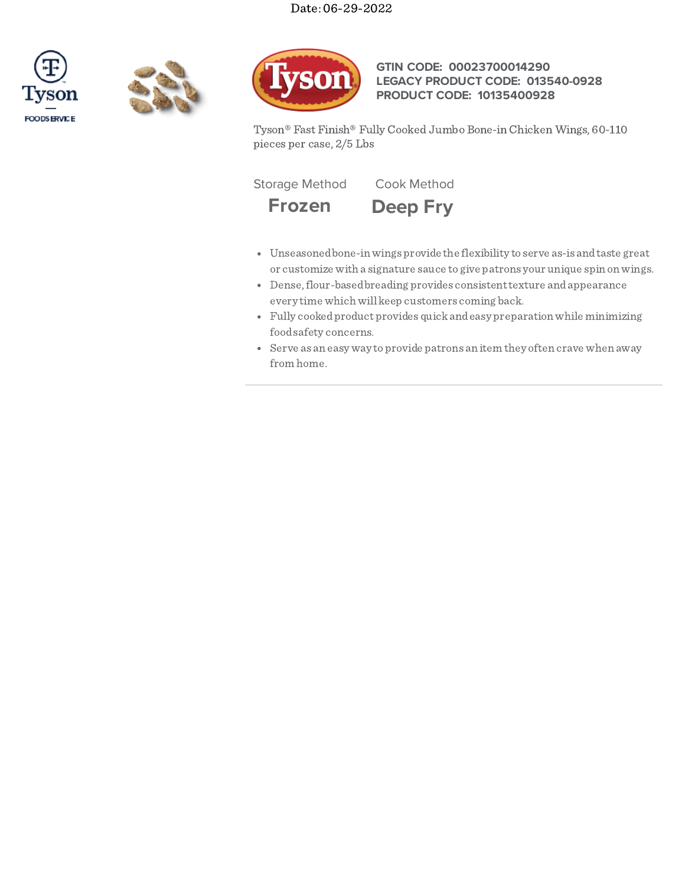





# **GTIN CODE: 00023700014290 LEGACY PRODUCT CODE: 013540-0928 PRODUCT CODE: 10135400928**

Tyson® Fast Finish® Fully Cooked Jumbo Bone-in Chicken Wings, 60-110 pieces per case, 2/5 Lbs

Storage Method Cook Method

**Frozen Deep Fry**

- Unseasonedbone-inwings provide the flexibility to serve as-is andtaste great or customize with a signature sauce to give patrons your unique spin onwings.
- Dense, flour-based breading provides consistent texture and appearance every time which will keep customers coming back.
- Fully cookedproduct provides quickandeasy preparationwhile minimizing foodsafety concerns.
- Serve as an easy way toprovide patrons an item they often crave when away from home.